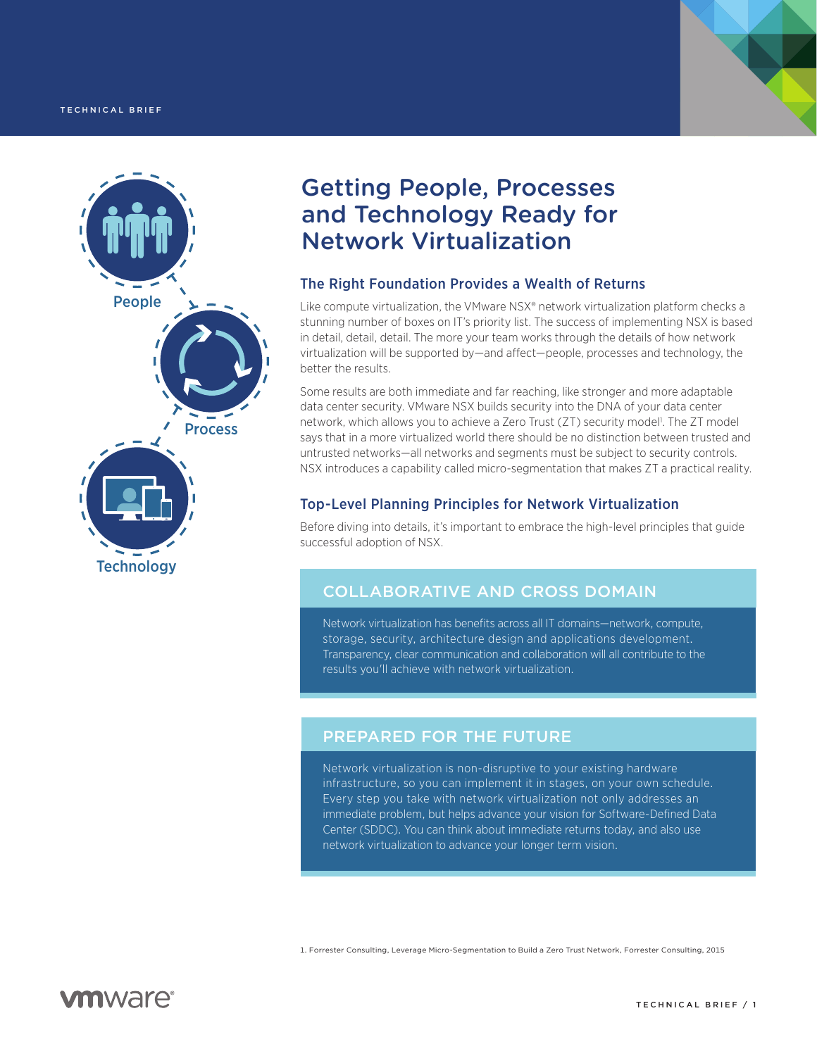



# Getting People, Processes and Technology Ready for Network Virtualization

### The Right Foundation Provides a Wealth of Returns

Like compute virtualization, the VMware NSX® network virtualization platform checks a stunning number of boxes on IT's priority list. The success of implementing NSX is based in detail, detail, detail. The more your team works through the details of how network virtualization will be supported by—and affect—people, processes and technology, the better the results.

Some results are both immediate and far reaching, like stronger and more adaptable data center security. VMware NSX builds security into the DNA of your data center network, which allows you to achieve a Zero Trust (ZT) security model<sup>1</sup>. The ZT model says that in a more virtualized world there should be no distinction between trusted and untrusted networks—all networks and segments must be subject to security controls. NSX introduces a capability called micro-segmentation that makes ZT a practical reality.

## Top-Level Planning Principles for Network Virtualization

Before diving into details, it's important to embrace the high-level principles that guide successful adoption of NSX.

# COLLABORATIVE AND CROSS DOMAIN

Network virtualization has benefits across all IT domains—network, compute, storage, security, architecture design and applications development. Transparency, clear communication and collaboration will all contribute to the results you'll achieve with network virtualization.

# PREPARED FOR THE FUTURE

Network virtualization is non-disruptive to your existing hardware infrastructure, so you can implement it in stages, on your own schedule. Every step you take with network virtualization not only addresses an immediate problem, but helps advance your vision for Software-Defined Data Center (SDDC). You can think about immediate returns today, and also use network virtualization to advance your longer term vision.

1. Forrester Consulting, Leverage Micro-Segmentation to Build a Zero Trust Network, Forrester Consulting, 2015

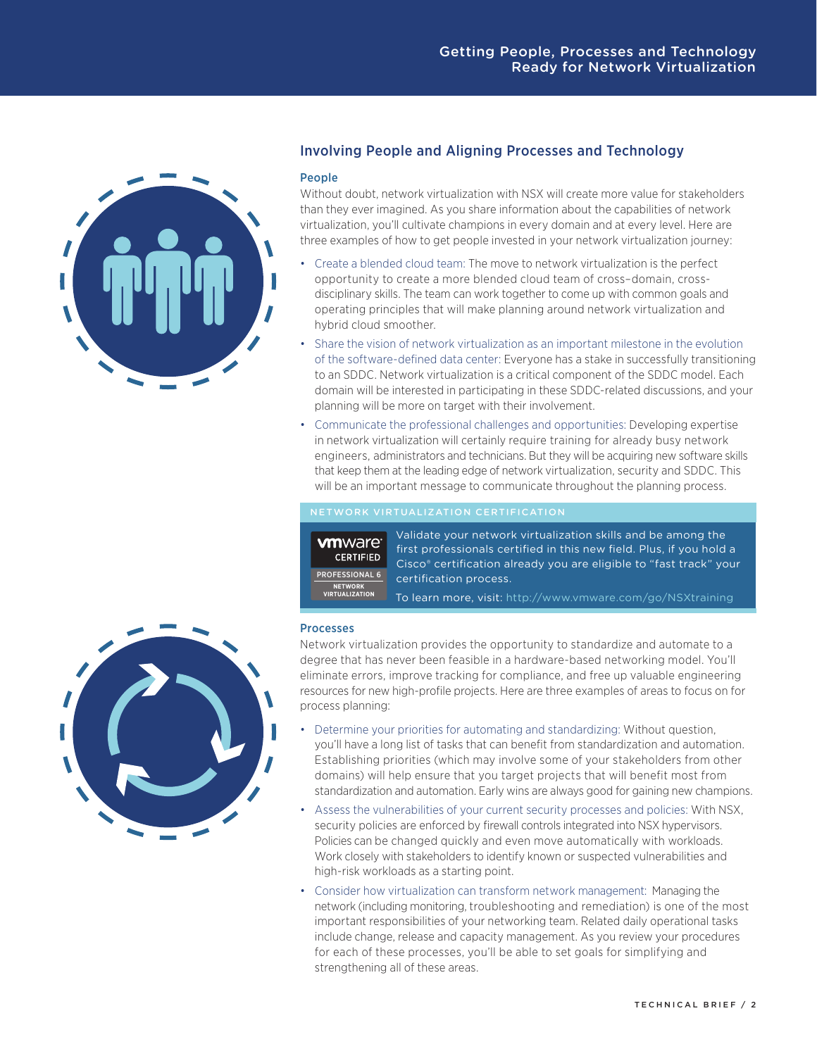

### Involving People and Aligning Processes and Technology

#### People

Without doubt, network virtualization with NSX will create more value for stakeholders than they ever imagined. As you share information about the capabilities of network virtualization, you'll cultivate champions in every domain and at every level. Here are three examples of how to get people invested in your network virtualization journey:

- Create a blended cloud team: The move to network virtualization is the perfect opportunity to create a more blended cloud team of cross–domain, crossdisciplinary skills. The team can work together to come up with common goals and operating principles that will make planning around network virtualization and hybrid cloud smoother.
- Share the vision of network virtualization as an important milestone in the evolution of the software-defined data center: Everyone has a stake in successfully transitioning to an SDDC. Network virtualization is a critical component of the SDDC model. Each domain will be interested in participating in these SDDC-related discussions, and your planning will be more on target with their involvement.
- Communicate the professional challenges and opportunities: Developing expertise in network virtualization will certainly require training for already busy network engineers, administrators and technicians. But they will be acquiring new software skills that keep them at the leading edge of network virtualization, security and SDDC. This will be an important message to communicate throughout the planning process.

#### NETWORK VIRTUALIZATION CERTIFICATION

**vm**ware<sup>®</sup> **CERTIFIED** PROFESSIONAL 6**NETWORK VIRTUALIZATION**

Validate your network virtualization skills and be among the first professionals certified in this new field. Plus, if you hold a Cisco® certification already you are eligible to "fast track" your certification process.

To learn more, visit:<http://www.vmware.com/go/NSXtraining>

#### **Processes**

Network virtualization provides the opportunity to standardize and automate to a degree that has never been feasible in a hardware-based networking model. You'll eliminate errors, improve tracking for compliance, and free up valuable engineering resources for new high-profile projects. Here are three examples of areas to focus on for process planning:

- Determine your priorities for automating and standardizing: Without question, you'll have a long list of tasks that can benefit from standardization and automation. Establishing priorities (which may involve some of your stakeholders from other domains) will help ensure that you target projects that will benefit most from standardization and automation. Early wins are always good for gaining new champions.
- Assess the vulnerabilities of your current security processes and policies: With NSX, security policies are enforced by firewall controls integrated into NSX hypervisors. Policies can be changed quickly and even move automatically with workloads. Work closely with stakeholders to identify known or suspected vulnerabilities and high-risk workloads as a starting point.
- Consider how virtualization can transform network management: Managing the network (including monitoring, troubleshooting and remediation) is one of the most important responsibilities of your networking team. Related daily operational tasks include change, release and capacity management. As you review your procedures for each of these processes, you'll be able to set goals for simplifying and strengthening all of these areas.